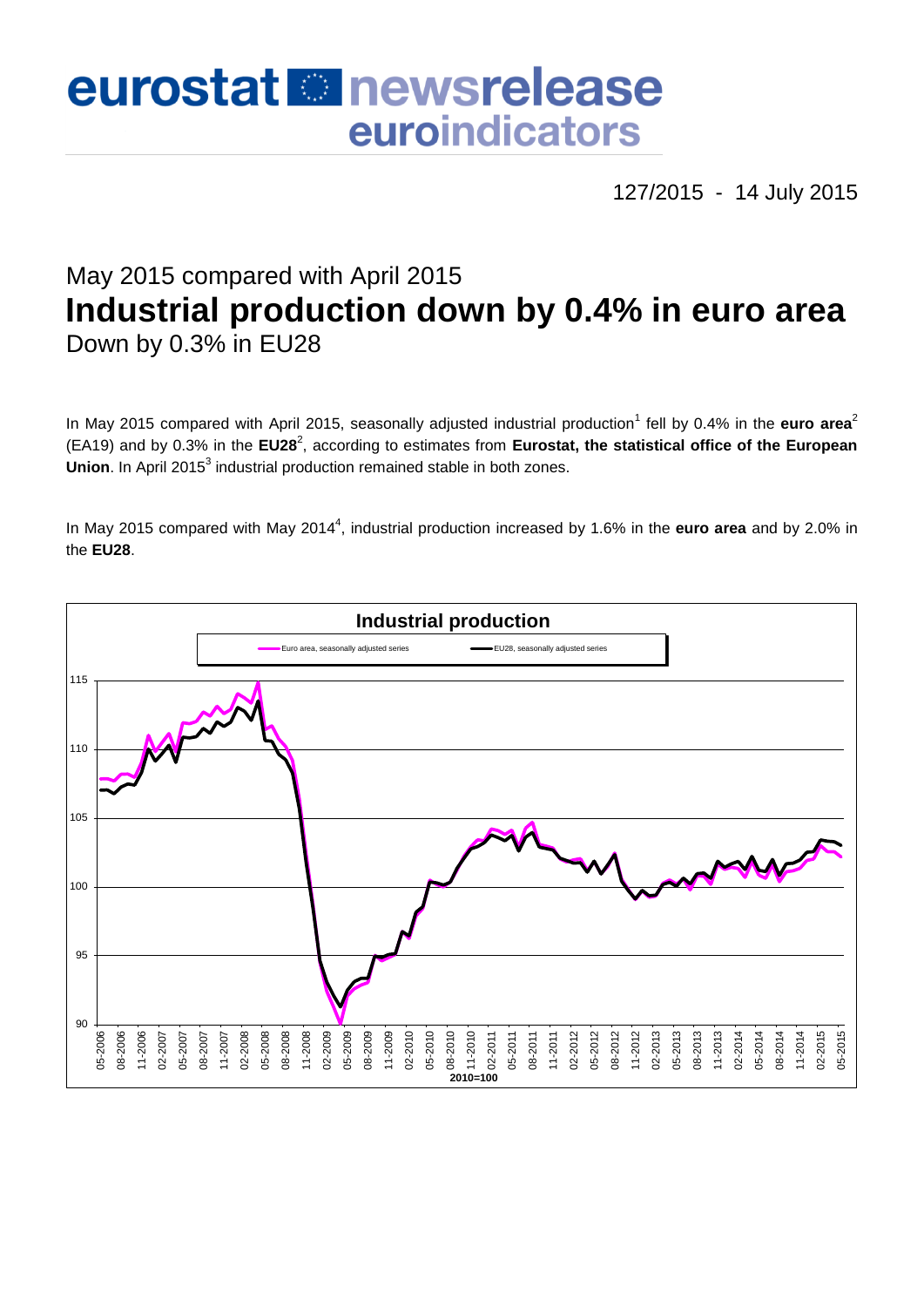# eurostat **E**newsrelease euroindicators

127/2015 - 14 July 2015

## May 2015 compared with April 2015 **Industrial production down by 0.4% in euro area** Down by 0.3% in EU28

In May 2015 compared with April 2015, seasonally adjusted industrial production<sup>1</sup> fell by 0.4% in the **euro area**<sup>2</sup> (EA19) and by 0.3% in the EU28<sup>2</sup>, according to estimates from Eurostat, the statistical office of the European Union. In April 2015<sup>3</sup> industrial production remained stable in both zones.

In May 2015 compared with May 2014<sup>4</sup>, industrial production increased by 1.6% in the **euro area** and by 2.0% in the **EU28**.

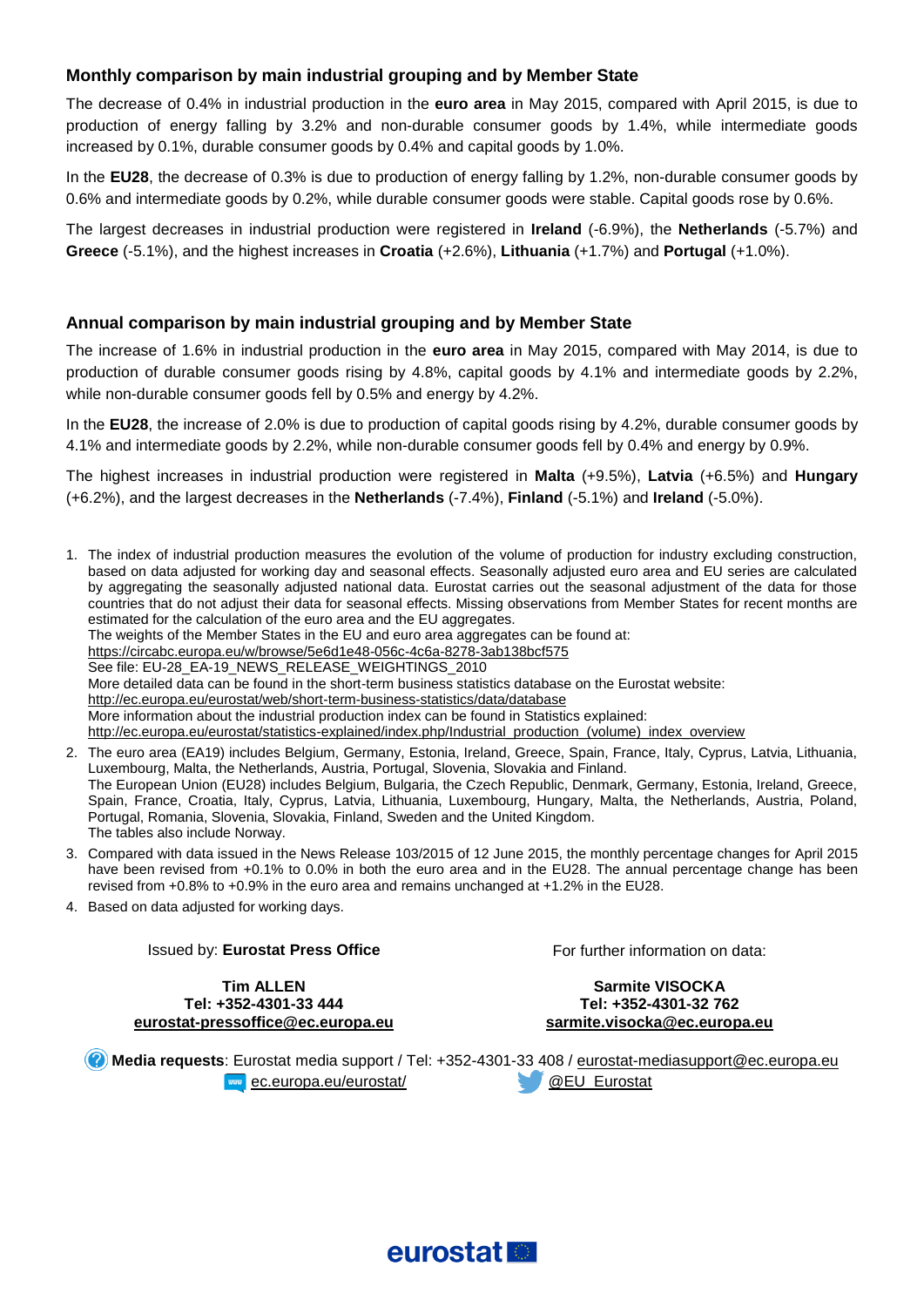#### **Monthly comparison by main industrial grouping and by Member State**

The decrease of 0.4% in industrial production in the **euro area** in May 2015, compared with April 2015, is due to production of energy falling by 3.2% and non-durable consumer goods by 1.4%, while intermediate goods increased by 0.1%, durable consumer goods by 0.4% and capital goods by 1.0%.

In the **EU28**, the decrease of 0.3% is due to production of energy falling by 1.2%, non-durable consumer goods by 0.6% and intermediate goods by 0.2%, while durable consumer goods were stable. Capital goods rose by 0.6%.

The largest decreases in industrial production were registered in **Ireland** (-6.9%), the **Netherlands** (-5.7%) and **Greece** (-5.1%), and the highest increases in **Croatia** (+2.6%), **Lithuania** (+1.7%) and **Portugal** (+1.0%).

#### **Annual comparison by main industrial grouping and by Member State**

The increase of 1.6% in industrial production in the **euro area** in May 2015, compared with May 2014, is due to production of durable consumer goods rising by 4.8%, capital goods by 4.1% and intermediate goods by 2.2%, while non-durable consumer goods fell by 0.5% and energy by 4.2%.

In the **EU28**, the increase of 2.0% is due to production of capital goods rising by 4.2%, durable consumer goods by 4.1% and intermediate goods by 2.2%, while non-durable consumer goods fell by 0.4% and energy by 0.9%.

The highest increases in industrial production were registered in **Malta** (+9.5%), **Latvia** (+6.5%) and **Hungary** (+6.2%), and the largest decreases in the **Netherlands** (-7.4%), **Finland** (-5.1%) and **Ireland** (-5.0%).

- 1. The index of industrial production measures the evolution of the volume of production for industry excluding construction, based on data adjusted for working day and seasonal effects. Seasonally adjusted euro area and EU series are calculated by aggregating the seasonally adjusted national data. Eurostat carries out the seasonal adjustment of the data for those countries that do not adjust their data for seasonal effects. Missing observations from Member States for recent months are estimated for the calculation of the euro area and the EU aggregates. The weights of the Member States in the EU and euro area aggregates can be found at: <https://circabc.europa.eu/w/browse/5e6d1e48-056c-4c6a-8278-3ab138bcf575> See file: EU-28\_EA-19\_NEWS\_RELEASE\_WEIGHTINGS\_2010 More detailed data can be found in the short-term business statistics database on the Eurostat website: <http://ec.europa.eu/eurostat/web/short-term-business-statistics/data/database> More information about the industrial production index can be found in Statistics explained: [http://ec.europa.eu/eurostat/statistics-explained/index.php/Industrial\\_production\\_\(volume\)\\_index\\_overview](http://ec.europa.eu/eurostat/statistics-explained/index.php/Industrial_production_(volume)_index_overview)
- 2. The euro area (EA19) includes Belgium, Germany, Estonia, Ireland, Greece, Spain, France, Italy, Cyprus, Latvia, Lithuania, Luxembourg, Malta, the Netherlands, Austria, Portugal, Slovenia, Slovakia and Finland. The European Union (EU28) includes Belgium, Bulgaria, the Czech Republic, Denmark, Germany, Estonia, Ireland, Greece, Spain, France, Croatia, Italy, Cyprus, Latvia, Lithuania, Luxembourg, Hungary, Malta, the Netherlands, Austria, Poland, Portugal, Romania, Slovenia, Slovakia, Finland, Sweden and the United Kingdom. The tables also include Norway.
- 3. Compared with data issued in the News Release 103/2015 of 12 June 2015, the monthly percentage changes for April 2015 have been revised from +0.1% to 0.0% in both the euro area and in the EU28. The annual percentage change has been revised from +0.8% to +0.9% in the euro area and remains unchanged at +1.2% in the EU28.
- 4. Based on data adjusted for working days.

Issued by: **Eurostat Press Office**

For further information on data:

**Tim ALLEN Tel: +352-4301-33 444 [eurostat-pressoffice@ec.europa.eu](mailto:eurostat-pressoffice@ec.europa.eu)**

**Sarmite VISOCKA Tel: +352-4301-32 762 [sarmite.visocka@ec.europa.eu](mailto:sarmite.visocka@ec.europa.eu)**

**Media requests**: Eurostat media support / Tel: +352-4301-33 408 / [eurostat-mediasupport@ec.europa.eu](mailto:eurostat-mediasupport@ec.europa.eu) **EXAMPLE** [ec.europa.eu/eurostat/](http://ec.europa.eu/eurostat/) **WELLEURENT CONTROLLEURENT CONTROLLEURENT** 

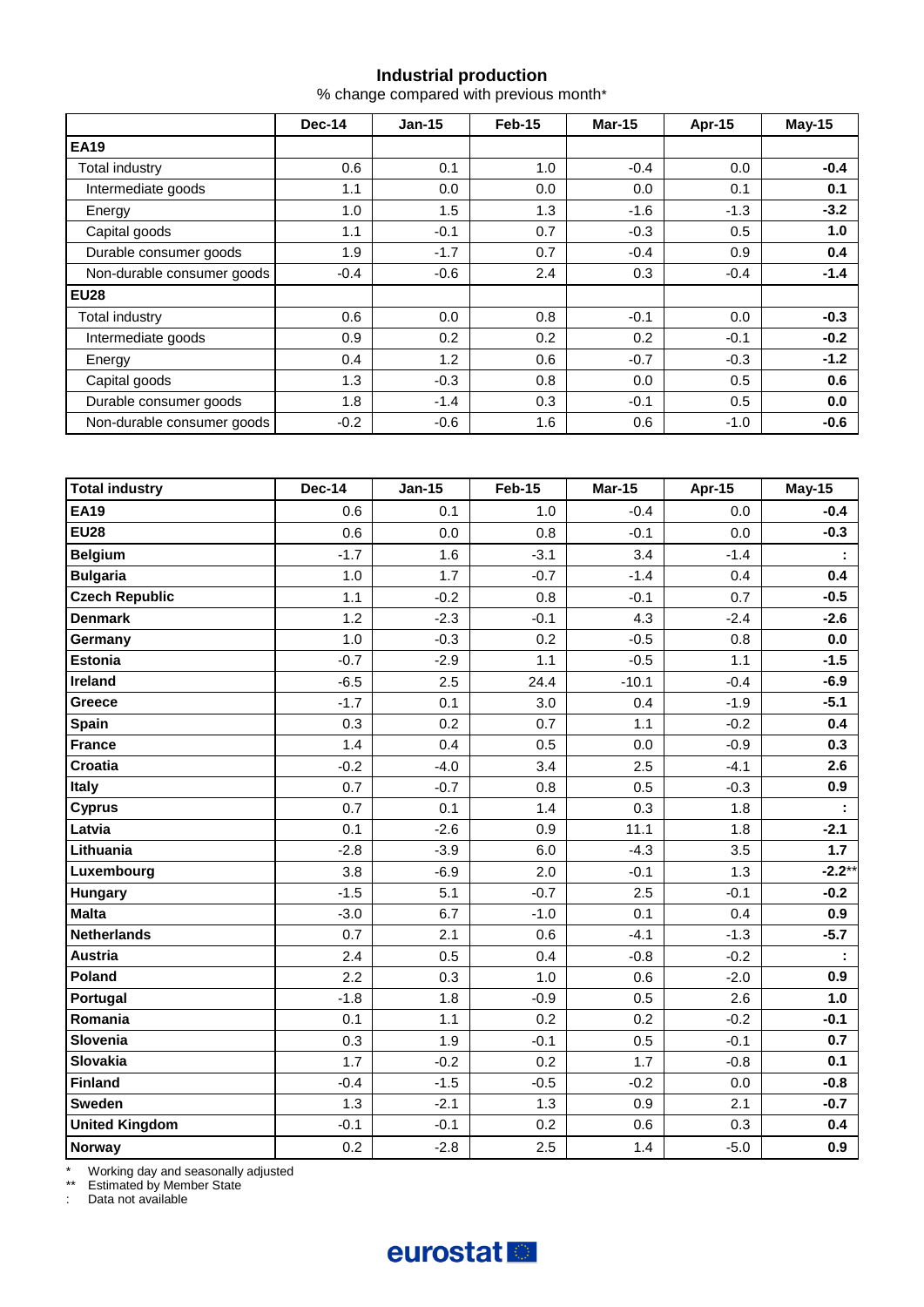#### **Industrial production**

% change compared with previous month\*

|                            | <b>Dec-14</b> | $Jan-15$ | Feb-15 | <b>Mar-15</b> | Apr-15 | <b>May-15</b> |
|----------------------------|---------------|----------|--------|---------------|--------|---------------|
| <b>EA19</b>                |               |          |        |               |        |               |
| Total industry             | 0.6           | 0.1      | 1.0    | $-0.4$        | 0.0    | $-0.4$        |
| Intermediate goods         | 1.1           | 0.0      | 0.0    | 0.0           | 0.1    | 0.1           |
| Energy                     | 1.0           | 1.5      | 1.3    | $-1.6$        | $-1.3$ | $-3.2$        |
| Capital goods              | 1.1           | $-0.1$   | 0.7    | $-0.3$        | 0.5    | 1.0           |
| Durable consumer goods     | 1.9           | $-1.7$   | 0.7    | $-0.4$        | 0.9    | 0.4           |
| Non-durable consumer goods | $-0.4$        | $-0.6$   | 2.4    | 0.3           | $-0.4$ | $-1.4$        |
| <b>EU28</b>                |               |          |        |               |        |               |
| Total industry             | 0.6           | 0.0      | 0.8    | $-0.1$        | 0.0    | $-0.3$        |
| Intermediate goods         | 0.9           | 0.2      | 0.2    | 0.2           | $-0.1$ | $-0.2$        |
| Energy                     | 0.4           | 1.2      | 0.6    | $-0.7$        | $-0.3$ | $-1.2$        |
| Capital goods              | 1.3           | $-0.3$   | 0.8    | 0.0           | 0.5    | 0.6           |
| Durable consumer goods     | 1.8           | $-1.4$   | 0.3    | $-0.1$        | 0.5    | 0.0           |
| Non-durable consumer goods | $-0.2$        | $-0.6$   | 1.6    | 0.6           | $-1.0$ | $-0.6$        |

| <b>Total industry</b> | <b>Dec-14</b> | <b>Jan-15</b> | <b>Feb-15</b> | <b>Mar-15</b> | Apr-15 | <b>May-15</b> |
|-----------------------|---------------|---------------|---------------|---------------|--------|---------------|
| <b>EA19</b>           | 0.6           | 0.1           | 1.0           | $-0.4$        | 0.0    | $-0.4$        |
| <b>EU28</b>           | 0.6           | 0.0           | 0.8           | $-0.1$        | 0.0    | $-0.3$        |
| <b>Belgium</b>        | $-1.7$        | 1.6           | $-3.1$        | 3.4           | $-1.4$ |               |
| <b>Bulgaria</b>       | $1.0$         | 1.7           | $-0.7$        | $-1.4$        | 0.4    | 0.4           |
| <b>Czech Republic</b> | 1.1           | $-0.2$        | 0.8           | $-0.1$        | 0.7    | $-0.5$        |
| <b>Denmark</b>        | 1.2           | $-2.3$        | $-0.1$        | 4.3           | $-2.4$ | $-2.6$        |
| Germany               | 1.0           | $-0.3$        | 0.2           | $-0.5$        | 0.8    | 0.0           |
| <b>Estonia</b>        | $-0.7$        | $-2.9$        | 1.1           | $-0.5$        | 1.1    | $-1.5$        |
| Ireland               | $-6.5$        | 2.5           | 24.4          | $-10.1$       | $-0.4$ | $-6.9$        |
| Greece                | $-1.7$        | 0.1           | 3.0           | 0.4           | $-1.9$ | $-5.1$        |
| <b>Spain</b>          | 0.3           | 0.2           | 0.7           | 1.1           | $-0.2$ | 0.4           |
| <b>France</b>         | 1.4           | 0.4           | 0.5           | 0.0           | $-0.9$ | 0.3           |
| Croatia               | $-0.2$        | $-4.0$        | 3.4           | 2.5           | $-4.1$ | 2.6           |
| Italy                 | 0.7           | $-0.7$        | 0.8           | 0.5           | $-0.3$ | 0.9           |
| <b>Cyprus</b>         | 0.7           | 0.1           | 1.4           | 0.3           | 1.8    |               |
| Latvia                | 0.1           | $-2.6$        | 0.9           | 11.1          | 1.8    | $-2.1$        |
| Lithuania             | $-2.8$        | $-3.9$        | 6.0           | $-4.3$        | 3.5    | 1.7           |
| Luxembourg            | 3.8           | $-6.9$        | 2.0           | $-0.1$        | 1.3    | $-2.2**$      |
| Hungary               | $-1.5$        | 5.1           | $-0.7$        | 2.5           | $-0.1$ | $-0.2$        |
| <b>Malta</b>          | $-3.0$        | 6.7           | $-1.0$        | 0.1           | 0.4    | 0.9           |
| <b>Netherlands</b>    | 0.7           | 2.1           | 0.6           | $-4.1$        | $-1.3$ | $-5.7$        |
| <b>Austria</b>        | 2.4           | 0.5           | 0.4           | $-0.8$        | $-0.2$ |               |
| Poland                | 2.2           | 0.3           | 1.0           | 0.6           | $-2.0$ | 0.9           |
| Portugal              | $-1.8$        | 1.8           | $-0.9$        | 0.5           | 2.6    | 1.0           |
| Romania               | 0.1           | 1.1           | 0.2           | 0.2           | $-0.2$ | $-0.1$        |
| Slovenia              | 0.3           | 1.9           | $-0.1$        | 0.5           | $-0.1$ | 0.7           |
| Slovakia              | 1.7           | $-0.2$        | 0.2           | 1.7           | $-0.8$ | 0.1           |
| <b>Finland</b>        | $-0.4$        | $-1.5$        | $-0.5$        | $-0.2$        | 0.0    | $-0.8$        |
| Sweden                | 1.3           | $-2.1$        | 1.3           | 0.9           | 2.1    | $-0.7$        |
| <b>United Kingdom</b> | $-0.1$        | $-0.1$        | 0.2           | 0.6           | 0.3    | 0.4           |
| <b>Norway</b>         | 0.2           | $-2.8$        | 2.5           | 1.4           | $-5.0$ | 0.9           |

\* Working day and seasonally adjusted

\*\* Estimated by Member State

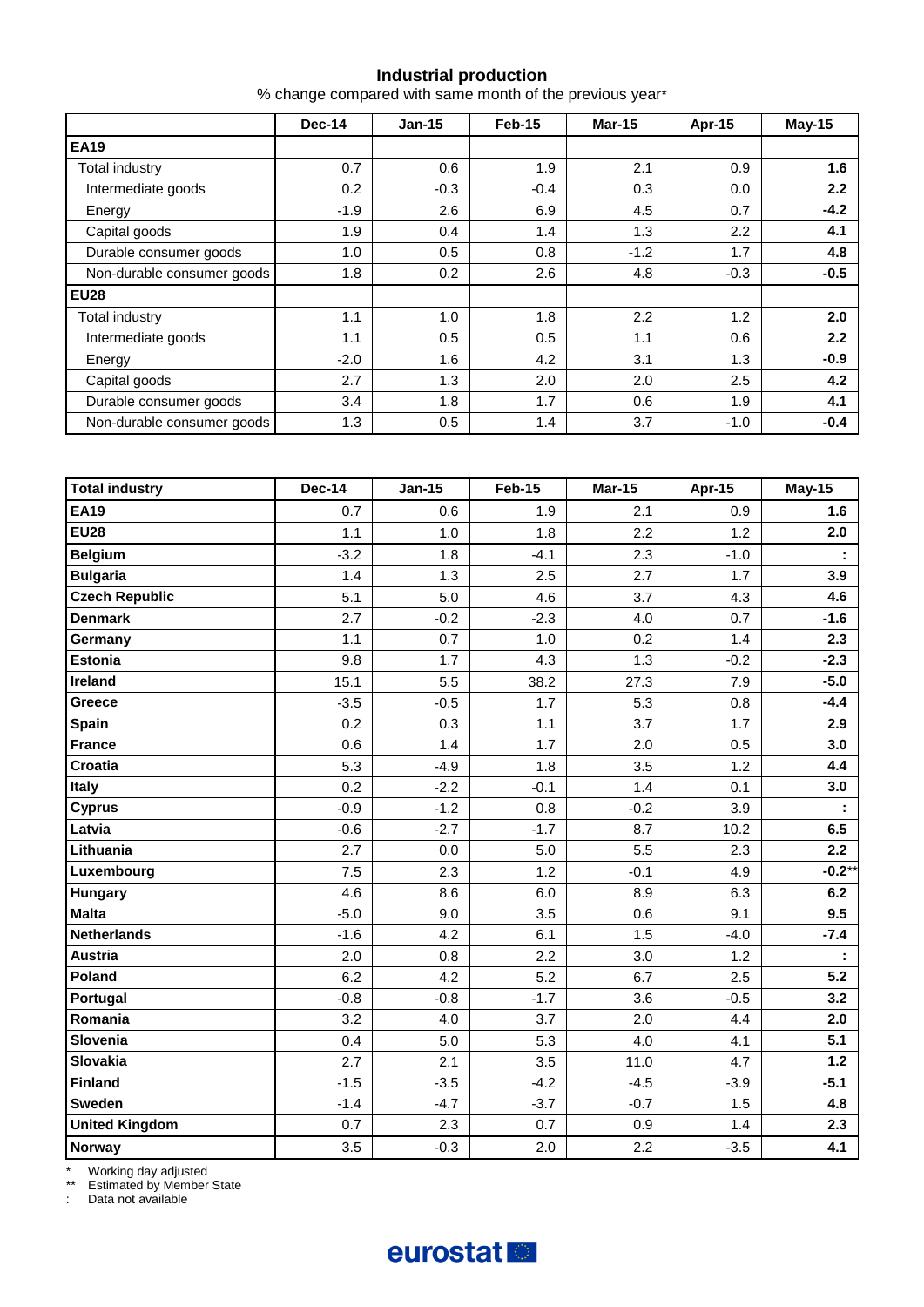#### **Industrial production**

% change compared with same month of the previous year\*

|                            | Dec-14 | $Jan-15$ | Feb-15 | <b>Mar-15</b> | Apr-15 | $May-15$ |
|----------------------------|--------|----------|--------|---------------|--------|----------|
| <b>EA19</b>                |        |          |        |               |        |          |
| Total industry             | 0.7    | 0.6      | 1.9    | 2.1           | 0.9    | 1.6      |
| Intermediate goods         | 0.2    | $-0.3$   | $-0.4$ | 0.3           | 0.0    | 2.2      |
| Energy                     | $-1.9$ | 2.6      | 6.9    | 4.5           | 0.7    | $-4.2$   |
| Capital goods              | 1.9    | 0.4      | 1.4    | 1.3           | 2.2    | 4.1      |
| Durable consumer goods     | 1.0    | 0.5      | 0.8    | $-1.2$        | 1.7    | 4.8      |
| Non-durable consumer goods | 1.8    | 0.2      | 2.6    | 4.8           | $-0.3$ | $-0.5$   |
| EU <sub>28</sub>           |        |          |        |               |        |          |
| Total industry             | 1.1    | 1.0      | 1.8    | 2.2           | 1.2    | 2.0      |
| Intermediate goods         | 1.1    | 0.5      | 0.5    | 1.1           | 0.6    | 2.2      |
| Energy                     | $-2.0$ | 1.6      | 4.2    | 3.1           | 1.3    | $-0.9$   |
| Capital goods              | 2.7    | 1.3      | 2.0    | 2.0           | 2.5    | 4.2      |
| Durable consumer goods     | 3.4    | 1.8      | 1.7    | 0.6           | 1.9    | 4.1      |
| Non-durable consumer goods | 1.3    | 0.5      | 1.4    | 3.7           | $-1.0$ | $-0.4$   |

| <b>Total industry</b> | <b>Dec-14</b> | <b>Jan-15</b> | <b>Feb-15</b> | <b>Mar-15</b> | Apr-15 | <b>May-15</b> |
|-----------------------|---------------|---------------|---------------|---------------|--------|---------------|
| <b>EA19</b>           | 0.7           | 0.6           | 1.9           | 2.1           | 0.9    | 1.6           |
| <b>EU28</b>           | 1.1           | 1.0           | 1.8           | 2.2           | 1.2    | 2.0           |
| <b>Belgium</b>        | $-3.2$        | 1.8           | $-4.1$        | 2.3           | $-1.0$ | ÷             |
| <b>Bulgaria</b>       | 1.4           | 1.3           | 2.5           | 2.7           | 1.7    | 3.9           |
| <b>Czech Republic</b> | 5.1           | 5.0           | 4.6           | 3.7           | 4.3    | 4.6           |
| <b>Denmark</b>        | 2.7           | $-0.2$        | $-2.3$        | 4.0           | 0.7    | $-1.6$        |
| Germany               | 1.1           | 0.7           | 1.0           | 0.2           | 1.4    | 2.3           |
| <b>Estonia</b>        | 9.8           | 1.7           | 4.3           | 1.3           | $-0.2$ | $-2.3$        |
| Ireland               | 15.1          | 5.5           | 38.2          | 27.3          | 7.9    | $-5.0$        |
| Greece                | $-3.5$        | $-0.5$        | 1.7           | 5.3           | 0.8    | $-4.4$        |
| <b>Spain</b>          | 0.2           | 0.3           | 1.1           | 3.7           | 1.7    | 2.9           |
| <b>France</b>         | 0.6           | 1.4           | 1.7           | 2.0           | 0.5    | 3.0           |
| <b>Croatia</b>        | 5.3           | $-4.9$        | 1.8           | 3.5           | 1.2    | 4.4           |
| Italy                 | 0.2           | $-2.2$        | $-0.1$        | 1.4           | 0.1    | 3.0           |
| <b>Cyprus</b>         | $-0.9$        | $-1.2$        | 0.8           | $-0.2$        | 3.9    | ÷             |
| Latvia                | $-0.6$        | $-2.7$        | $-1.7$        | 8.7           | 10.2   | 6.5           |
| Lithuania             | 2.7           | 0.0           | 5.0           | 5.5           | 2.3    | 2.2           |
| Luxembourg            | 7.5           | 2.3           | 1.2           | $-0.1$        | 4.9    | $-0.2$ *      |
| Hungary               | 4.6           | 8.6           | 6.0           | 8.9           | 6.3    | 6.2           |
| <b>Malta</b>          | $-5.0$        | 9.0           | 3.5           | 0.6           | 9.1    | 9.5           |
| <b>Netherlands</b>    | $-1.6$        | 4.2           | 6.1           | 1.5           | $-4.0$ | $-7.4$        |
| <b>Austria</b>        | 2.0           | 0.8           | 2.2           | 3.0           | 1.2    |               |
| Poland                | 6.2           | 4.2           | 5.2           | 6.7           | 2.5    | 5.2           |
| Portugal              | $-0.8$        | $-0.8$        | $-1.7$        | 3.6           | $-0.5$ | 3.2           |
| Romania               | 3.2           | 4.0           | 3.7           | 2.0           | 4.4    | 2.0           |
| Slovenia              | 0.4           | 5.0           | 5.3           | 4.0           | 4.1    | 5.1           |
| Slovakia              | 2.7           | 2.1           | 3.5           | 11.0          | 4.7    | $1.2$         |
| <b>Finland</b>        | $-1.5$        | $-3.5$        | $-4.2$        | $-4.5$        | $-3.9$ | $-5.1$        |
| <b>Sweden</b>         | $-1.4$        | $-4.7$        | $-3.7$        | $-0.7$        | 1.5    | 4.8           |
| <b>United Kingdom</b> | 0.7           | 2.3           | 0.7           | 0.9           | 1.4    | 2.3           |
| <b>Norway</b>         | 3.5           | $-0.3$        | 2.0           | 2.2           | $-3.5$ | 4.1           |

\* Working day adjusted

\*\* Estimated by Member State

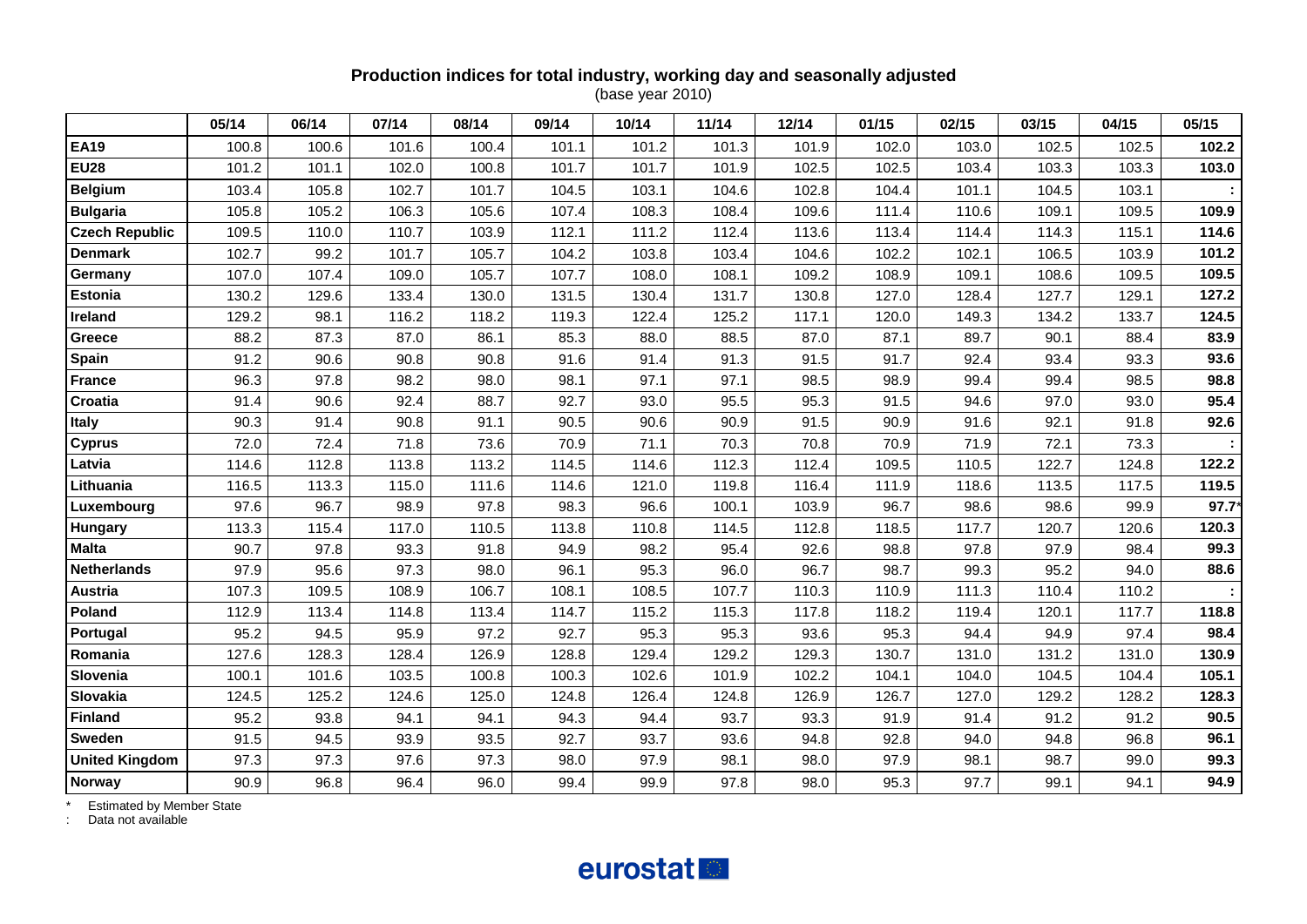#### **Production indices for total industry, working day and seasonally adjusted** (base year 2010)

|                       | 05/14 | 06/14 | 07/14 | 08/14 | 09/14 | 10/14 | 11/14 | 12/14 | 01/15 | 02/15 | 03/15 | 04/15 | 05/15 |
|-----------------------|-------|-------|-------|-------|-------|-------|-------|-------|-------|-------|-------|-------|-------|
| <b>EA19</b>           | 100.8 | 100.6 | 101.6 | 100.4 | 101.1 | 101.2 | 101.3 | 101.9 | 102.0 | 103.0 | 102.5 | 102.5 | 102.2 |
| <b>EU28</b>           | 101.2 | 101.1 | 102.0 | 100.8 | 101.7 | 101.7 | 101.9 | 102.5 | 102.5 | 103.4 | 103.3 | 103.3 | 103.0 |
| <b>Belgium</b>        | 103.4 | 105.8 | 102.7 | 101.7 | 104.5 | 103.1 | 104.6 | 102.8 | 104.4 | 101.1 | 104.5 | 103.1 |       |
| <b>Bulgaria</b>       | 105.8 | 105.2 | 106.3 | 105.6 | 107.4 | 108.3 | 108.4 | 109.6 | 111.4 | 110.6 | 109.1 | 109.5 | 109.9 |
| <b>Czech Republic</b> | 109.5 | 110.0 | 110.7 | 103.9 | 112.1 | 111.2 | 112.4 | 113.6 | 113.4 | 114.4 | 114.3 | 115.1 | 114.6 |
| <b>Denmark</b>        | 102.7 | 99.2  | 101.7 | 105.7 | 104.2 | 103.8 | 103.4 | 104.6 | 102.2 | 102.1 | 106.5 | 103.9 | 101.2 |
| Germany               | 107.0 | 107.4 | 109.0 | 105.7 | 107.7 | 108.0 | 108.1 | 109.2 | 108.9 | 109.1 | 108.6 | 109.5 | 109.5 |
| <b>Estonia</b>        | 130.2 | 129.6 | 133.4 | 130.0 | 131.5 | 130.4 | 131.7 | 130.8 | 127.0 | 128.4 | 127.7 | 129.1 | 127.2 |
| Ireland               | 129.2 | 98.1  | 116.2 | 118.2 | 119.3 | 122.4 | 125.2 | 117.1 | 120.0 | 149.3 | 134.2 | 133.7 | 124.5 |
| Greece                | 88.2  | 87.3  | 87.0  | 86.1  | 85.3  | 88.0  | 88.5  | 87.0  | 87.1  | 89.7  | 90.1  | 88.4  | 83.9  |
| <b>Spain</b>          | 91.2  | 90.6  | 90.8  | 90.8  | 91.6  | 91.4  | 91.3  | 91.5  | 91.7  | 92.4  | 93.4  | 93.3  | 93.6  |
| <b>France</b>         | 96.3  | 97.8  | 98.2  | 98.0  | 98.1  | 97.1  | 97.1  | 98.5  | 98.9  | 99.4  | 99.4  | 98.5  | 98.8  |
| Croatia               | 91.4  | 90.6  | 92.4  | 88.7  | 92.7  | 93.0  | 95.5  | 95.3  | 91.5  | 94.6  | 97.0  | 93.0  | 95.4  |
| <b>Italy</b>          | 90.3  | 91.4  | 90.8  | 91.1  | 90.5  | 90.6  | 90.9  | 91.5  | 90.9  | 91.6  | 92.1  | 91.8  | 92.6  |
| <b>Cyprus</b>         | 72.0  | 72.4  | 71.8  | 73.6  | 70.9  | 71.1  | 70.3  | 70.8  | 70.9  | 71.9  | 72.1  | 73.3  |       |
| Latvia                | 114.6 | 112.8 | 113.8 | 113.2 | 114.5 | 114.6 | 112.3 | 112.4 | 109.5 | 110.5 | 122.7 | 124.8 | 122.2 |
| Lithuania             | 116.5 | 113.3 | 115.0 | 111.6 | 114.6 | 121.0 | 119.8 | 116.4 | 111.9 | 118.6 | 113.5 | 117.5 | 119.5 |
| Luxembourg            | 97.6  | 96.7  | 98.9  | 97.8  | 98.3  | 96.6  | 100.1 | 103.9 | 96.7  | 98.6  | 98.6  | 99.9  | 97.7  |
| Hungary               | 113.3 | 115.4 | 117.0 | 110.5 | 113.8 | 110.8 | 114.5 | 112.8 | 118.5 | 117.7 | 120.7 | 120.6 | 120.3 |
| <b>Malta</b>          | 90.7  | 97.8  | 93.3  | 91.8  | 94.9  | 98.2  | 95.4  | 92.6  | 98.8  | 97.8  | 97.9  | 98.4  | 99.3  |
| <b>Netherlands</b>    | 97.9  | 95.6  | 97.3  | 98.0  | 96.1  | 95.3  | 96.0  | 96.7  | 98.7  | 99.3  | 95.2  | 94.0  | 88.6  |
| Austria               | 107.3 | 109.5 | 108.9 | 106.7 | 108.1 | 108.5 | 107.7 | 110.3 | 110.9 | 111.3 | 110.4 | 110.2 |       |
| Poland                | 112.9 | 113.4 | 114.8 | 113.4 | 114.7 | 115.2 | 115.3 | 117.8 | 118.2 | 119.4 | 120.1 | 117.7 | 118.8 |
| Portugal              | 95.2  | 94.5  | 95.9  | 97.2  | 92.7  | 95.3  | 95.3  | 93.6  | 95.3  | 94.4  | 94.9  | 97.4  | 98.4  |
| Romania               | 127.6 | 128.3 | 128.4 | 126.9 | 128.8 | 129.4 | 129.2 | 129.3 | 130.7 | 131.0 | 131.2 | 131.0 | 130.9 |
| Slovenia              | 100.1 | 101.6 | 103.5 | 100.8 | 100.3 | 102.6 | 101.9 | 102.2 | 104.1 | 104.0 | 104.5 | 104.4 | 105.1 |
| Slovakia              | 124.5 | 125.2 | 124.6 | 125.0 | 124.8 | 126.4 | 124.8 | 126.9 | 126.7 | 127.0 | 129.2 | 128.2 | 128.3 |
| <b>Finland</b>        | 95.2  | 93.8  | 94.1  | 94.1  | 94.3  | 94.4  | 93.7  | 93.3  | 91.9  | 91.4  | 91.2  | 91.2  | 90.5  |
| Sweden                | 91.5  | 94.5  | 93.9  | 93.5  | 92.7  | 93.7  | 93.6  | 94.8  | 92.8  | 94.0  | 94.8  | 96.8  | 96.1  |
| <b>United Kingdom</b> | 97.3  | 97.3  | 97.6  | 97.3  | 98.0  | 97.9  | 98.1  | 98.0  | 97.9  | 98.1  | 98.7  | 99.0  | 99.3  |
| <b>Norway</b>         | 90.9  | 96.8  | 96.4  | 96.0  | 99.4  | 99.9  | 97.8  | 98.0  | 95.3  | 97.7  | 99.1  | 94.1  | 94.9  |

\* Estimated by Member State